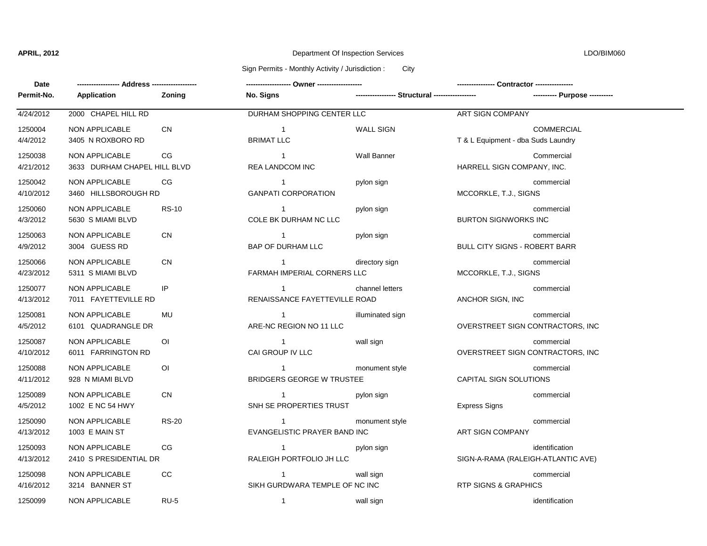# **APRIL, 2012** Department Of Inspection Services LDO/BIM060

### Sign Permits - Monthly Activity / Jurisdiction : City

| Date                 |                                                 |                |                                                  |                                                 |                                                         |  |
|----------------------|-------------------------------------------------|----------------|--------------------------------------------------|-------------------------------------------------|---------------------------------------------------------|--|
| Permit-No.           | Application                                     | Zoning         | No. Signs                                        | ----------------- Structural ------------------ | ---------- Purpose ----------                           |  |
| 4/24/2012            | 2000 CHAPEL HILL RD                             |                | DURHAM SHOPPING CENTER LLC                       |                                                 | <b>ART SIGN COMPANY</b>                                 |  |
| 1250004<br>4/4/2012  | <b>NON APPLICABLE</b><br>3405 N ROXBORO RD      | <b>CN</b>      | $\overline{1}$<br><b>BRIMAT LLC</b>              | <b>WALL SIGN</b>                                | <b>COMMERCIAL</b><br>T & L Equipment - dba Suds Laundry |  |
| 1250038<br>4/21/2012 | NON APPLICABLE<br>3633 DURHAM CHAPEL HILL BLVD  | CG             | $\overline{1}$<br>REA LANDCOM INC                | <b>Wall Banner</b>                              | Commercial<br>HARRELL SIGN COMPANY, INC.                |  |
| 1250042<br>4/10/2012 | <b>NON APPLICABLE</b><br>3460 HILLSBOROUGH RD   | CG             | $\overline{1}$<br><b>GANPATI CORPORATION</b>     | pylon sign                                      | commercial<br>MCCORKLE, T.J., SIGNS                     |  |
| 1250060<br>4/3/2012  | NON APPLICABLE<br>5630 S MIAMI BLVD             | <b>RS-10</b>   | $\overline{1}$<br>COLE BK DURHAM NC LLC          | pylon sign                                      | commercial<br><b>BURTON SIGNWORKS INC</b>               |  |
| 1250063<br>4/9/2012  | <b>NON APPLICABLE</b><br>3004 GUESS RD          | <b>CN</b>      | $\overline{1}$<br>BAP OF DURHAM LLC              | pylon sign                                      | commercial<br><b>BULL CITY SIGNS - ROBERT BARR</b>      |  |
| 1250066<br>4/23/2012 | NON APPLICABLE<br>5311 S MIAMI BLVD             | <b>CN</b>      | $\overline{1}$<br>FARMAH IMPERIAL CORNERS LLC    | directory sign                                  | commercial<br>MCCORKLE, T.J., SIGNS                     |  |
| 1250077<br>4/13/2012 | NON APPLICABLE<br>7011 FAYETTEVILLE RD          | IP             | $\overline{1}$<br>RENAISSANCE FAYETTEVILLE ROAD  | channel letters                                 | commercial<br>ANCHOR SIGN, INC                          |  |
| 1250081<br>4/5/2012  | <b>NON APPLICABLE</b><br>6101 QUADRANGLE DR     | MU             | $\overline{1}$<br>ARE-NC REGION NO 11 LLC        | illuminated sign                                | commercial<br>OVERSTREET SIGN CONTRACTORS, INC          |  |
| 1250087<br>4/10/2012 | NON APPLICABLE<br>6011 FARRINGTON RD            | OI             | $\overline{1}$<br>CAI GROUP IV LLC               | wall sign                                       | commercial<br>OVERSTREET SIGN CONTRACTORS, INC          |  |
| 1250088<br>4/11/2012 | <b>NON APPLICABLE</b><br>928 N MIAMI BLVD       | O <sub>1</sub> | $\mathbf{1}$<br><b>BRIDGERS GEORGE W TRUSTEE</b> | monument style                                  | commercial<br>CAPITAL SIGN SOLUTIONS                    |  |
| 1250089<br>4/5/2012  | <b>NON APPLICABLE</b><br>1002 E NC 54 HWY       | <b>CN</b>      | $\overline{1}$<br>SNH SE PROPERTIES TRUST        | pylon sign                                      | commercial<br><b>Express Signs</b>                      |  |
| 1250090<br>4/13/2012 | NON APPLICABLE<br>1003 E MAIN ST                | <b>RS-20</b>   | $\overline{1}$<br>EVANGELISTIC PRAYER BAND INC   | monument style                                  | commercial<br>ART SIGN COMPANY                          |  |
| 1250093<br>4/13/2012 | <b>NON APPLICABLE</b><br>2410 S PRESIDENTIAL DR | CG             | $\mathbf{1}$<br>RALEIGH PORTFOLIO JH LLC         | pylon sign                                      | identification<br>SIGN-A-RAMA (RALEIGH-ATLANTIC AVE)    |  |
| 1250098<br>4/16/2012 | <b>NON APPLICABLE</b><br>3214 BANNER ST         | CC             | $\mathbf{1}$<br>SIKH GURDWARA TEMPLE OF NC INC   | wall sign                                       | commercial<br><b>RTP SIGNS &amp; GRAPHICS</b>           |  |
| 1250099              | <b>NON APPLICABLE</b>                           | <b>RU-5</b>    | $\overline{1}$                                   | wall sign                                       | identification                                          |  |